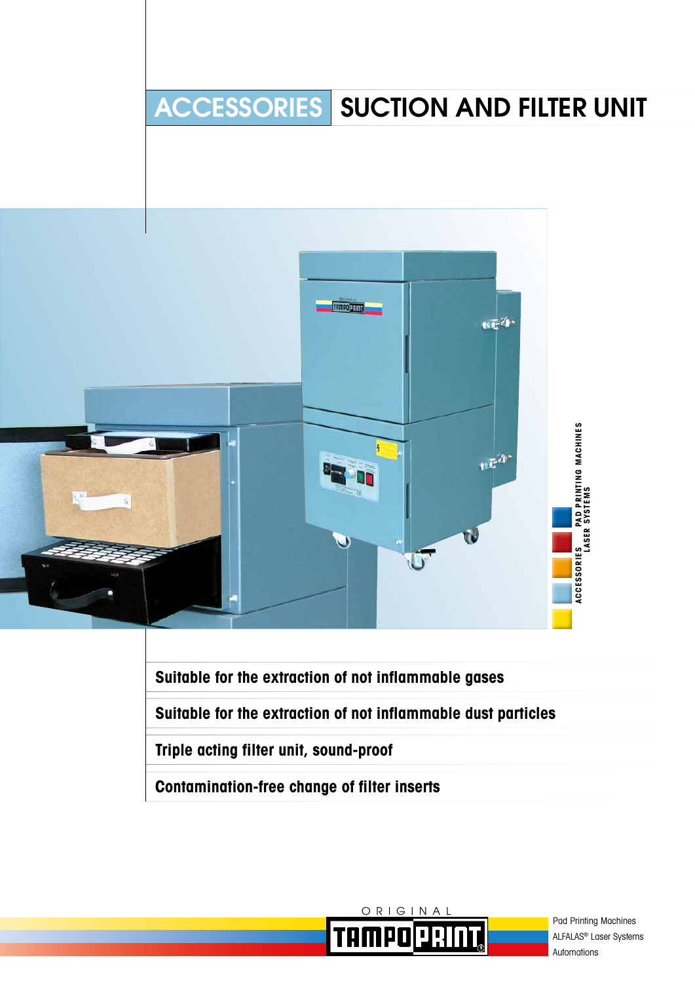

**Suitable for the extraction of not inflammable gases**

**Suitable for the extraction of not inflammable dust particles**

**Triple acting filter unit, sound-proof**

**Contamination-free change of filter inserts**



Pad Printing Machines ALFALAS® Laser Systems Automations